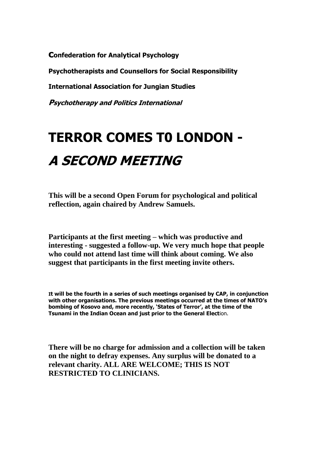**confederation for Analytical Psychology**

**Psychotherapists and Counsellors for Social Responsibility**

**International Association for Jungian Studies**

**Psychotherapy and Politics International**

## **TERROR COMES T0 LONDON - A SECOND MEETING**

**This will be a second Open Forum for psychological and political reflection, again chaired by Andrew Samuels.**

**Participants at the first meeting – which was productive and interesting - suggested a follow-up. We very much hope that people who could not attend last time will think about coming. We also suggest that participants in the first meeting invite others.**

**It will be the fourth in a series of such meetings organised by CAP, in conjunction with other organisations. The previous meetings occurred at the times of NATO's bombing of Kosovo and, more recently, 'States of Terror', at the time of the Tsunami in the Indian Ocean and just prior to the General Elect**ion.

**There will be no charge for admission and a collection will be taken on the night to defray expenses. Any surplus will be donated to a relevant charity. ALL ARE WELCOME; THIS IS NOT RESTRICTED TO CLINICIANS.**